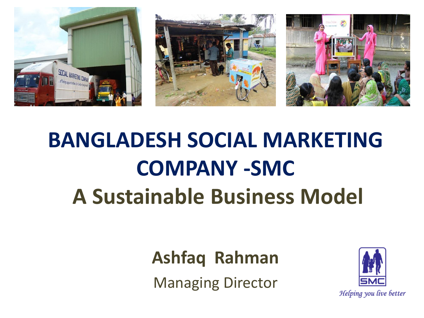

# **BANGLADESH SOCIAL MARKETING COMPANY -SMC A Sustainable Business Model**

#### **Ashfaq Rahman**

Managing Director

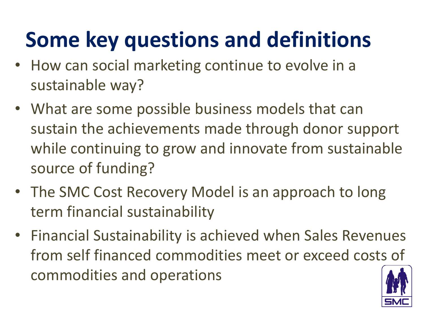## **Some key questions and definitions**

- How can social marketing continue to evolve in a sustainable way?
- What are some possible business models that can sustain the achievements made through donor support while continuing to grow and innovate from sustainable source of funding?
- The SMC Cost Recovery Model is an approach to long term financial sustainability
- Financial Sustainability is achieved when Sales Revenues from self financed commodities meet or exceed costs of commodities and operations

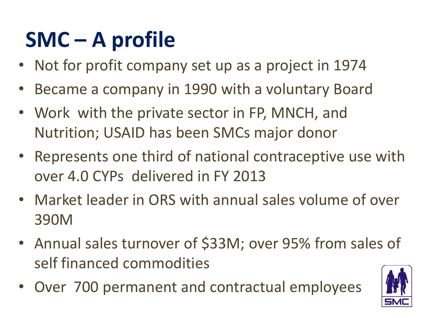# **SMC – A profile**

- Not for profit company set up as a project in 1974
- Became a company in 1990 with a voluntary Board
- Work with the private sector in FP, MNCH, and Nutrition; USAID has been SMCs major donor
- Represents one third of national contraceptive use with over 4.0 CYPs delivered in FY 2013
- Market leader in ORS with annual sales volume of over 390M
- Annual sales turnover of \$33M; over 95% from sales of self financed commodities
- Over 700 permanent and contractual employees

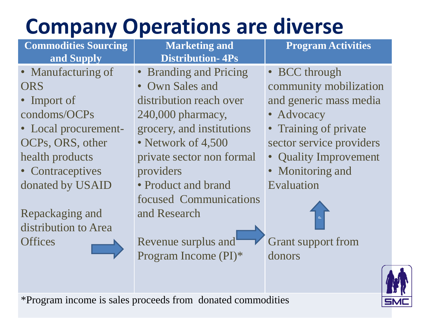### **Company Operations are diverse**

| <b>Commodities Sourcing</b> | <b>Marketing and</b>              | <b>Program Activities</b> |
|-----------------------------|-----------------------------------|---------------------------|
| and Supply                  | <b>Distribution-4Ps</b>           |                           |
| • Manufacturing of          | • Branding and Pricing            | • BCC through             |
| <b>ORS</b>                  | <b>Own Sales and</b><br>$\bullet$ | community mobilization    |
| • Import of                 | distribution reach over           | and generic mass media    |
| condoms/OCPs                | 240,000 pharmacy,                 | • Advocacy                |
| • Local procurement-        | grocery, and institutions         | • Training of private     |
| OCPs, ORS, other            | • Network of 4,500                | sector service providers  |
| health products             | private sector non formal         | • Quality Improvement     |
| • Contraceptives            | providers                         | • Monitoring and          |
| donated by USAID            | • Product and brand               | Evaluation                |
|                             | focused Communications            |                           |
| Repackaging and             | and Research                      |                           |
| distribution to Area        |                                   |                           |
| <b>Offices</b>              | Revenue surplus and               | <b>Grant support from</b> |
|                             | Program Income (PI)*              | donors                    |
|                             |                                   |                           |
|                             |                                   |                           |

\*Program income is sales proceeds from donated commodities

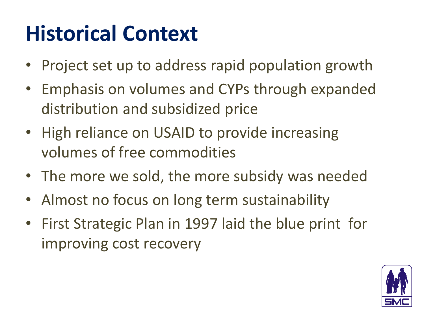## **Historical Context**

- Project set up to address rapid population growth
- Emphasis on volumes and CYPs through expanded distribution and subsidized price
- High reliance on USAID to provide increasing volumes of free commodities
- The more we sold, the more subsidy was needed
- Almost no focus on long term sustainability
- First Strategic Plan in 1997 laid the blue print for improving cost recovery

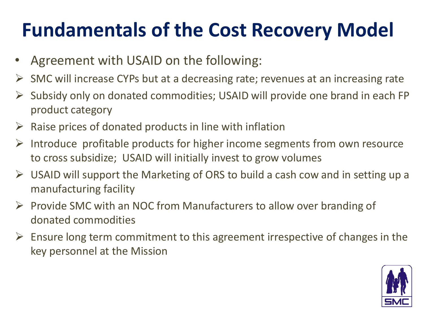### **Fundamentals of the Cost Recovery Model**

- Agreement with USAID on the following:
- $\triangleright$  SMC will increase CYPs but at a decreasing rate; revenues at an increasing rate
- $\triangleright$  Subsidy only on donated commodities; USAID will provide one brand in each FP product category
- $\triangleright$  Raise prices of donated products in line with inflation
- $\triangleright$  Introduce profitable products for higher income segments from own resource to cross subsidize; USAID will initially invest to grow volumes
- $\triangleright$  USAID will support the Marketing of ORS to build a cash cow and in setting up a manufacturing facility
- $\triangleright$  Provide SMC with an NOC from Manufacturers to allow over branding of donated commodities
- $\triangleright$  Ensure long term commitment to this agreement irrespective of changes in the key personnel at the Mission

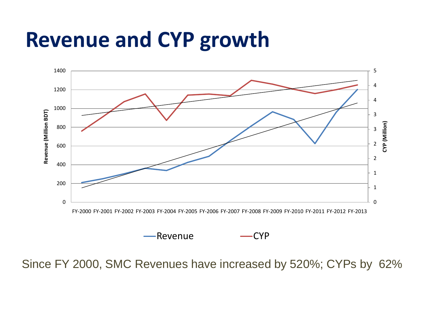### **Revenue and CYP growth**



Revenue — CYP

Since FY 2000, SMC Revenues have increased by 520%; CYPs by 62%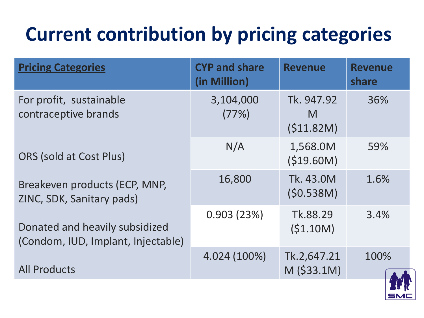### **Current contribution by pricing categories**

| <b>Pricing Categories</b>                                            | <b>CYP and share</b><br>(in Million) | <b>Revenue</b>                | <b>Revenue</b><br>share |
|----------------------------------------------------------------------|--------------------------------------|-------------------------------|-------------------------|
| For profit, sustainable<br>contraceptive brands                      | 3,104,000<br>(77%)                   | Tk. 947.92<br>M<br>(\$11.82M) | 36%                     |
| <b>ORS (sold at Cost Plus)</b>                                       | N/A                                  | 1,568.0M<br>(\$19.60M)        | 59%                     |
| Breakeven products (ECP, MNP,<br>ZINC, SDK, Sanitary pads)           | 16,800                               | Tk. 43.0M<br>(50.538M)        | 1.6%                    |
| Donated and heavily subsidized<br>(Condom, IUD, Implant, Injectable) | 0.903(23%)                           | Tk.88.29<br>(\$1.10M)         | 3.4%                    |
| <b>All Products</b>                                                  | 4.024 (100%)                         | Tk.2,647.21<br>$M$ (\$33.1M)  | 100%                    |

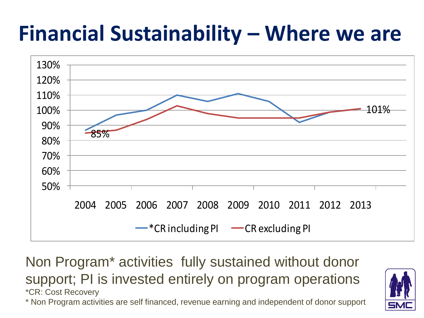### **Financial Sustainability – Where we are**



Non Program\* activities fully sustained without donor support; PI is invested entirely on program operations \*CR: Cost Recovery \* Non Program activities are self financed, revenue earning and independent of donor support

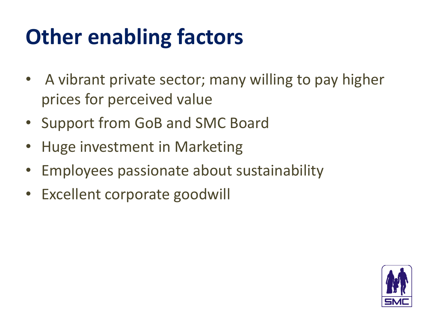### **Other enabling factors**

- A vibrant private sector; many willing to pay higher prices for perceived value
- Support from GoB and SMC Board
- Huge investment in Marketing
- Employees passionate about sustainability
- Excellent corporate goodwill

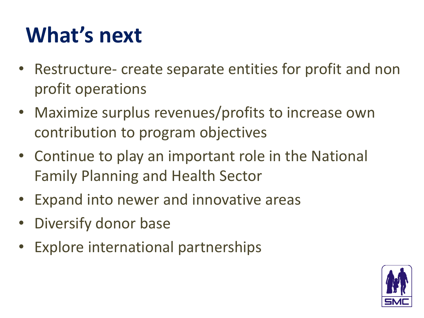### **What's next**

- Restructure- create separate entities for profit and non profit operations
- Maximize surplus revenues/profits to increase own contribution to program objectives
- Continue to play an important role in the National Family Planning and Health Sector
- Expand into newer and innovative areas
- Diversify donor base
- Explore international partnerships